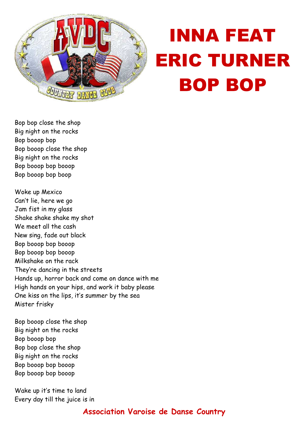

## INNA FEAT ERIC TURNER BOP BOP

Bop bop close the shop Big night on the rocks Bop booop bop Bop booop close the shop Big night on the rocks Bop booop bop booop Bop booop bop boop

Woke up Mexico Can't lie, here we go Jam fist in my glass Shake shake shake my shot We meet all the cash New sing, fade out black Bop booop bop booop Bop booop bop booop Milkshake on the rack They're dancing in the streets Hands up, horror back and come on dance with me High hands on your hips, and work it baby please One kiss on the lips, it's summer by the sea Mister frisky

Bop booop close the shop Big night on the rocks Bop booop bop Bop bop close the shop Big night on the rocks Bop booop bop booop Bop booop bop booop

Wake up it's time to land Every day till the juice is in